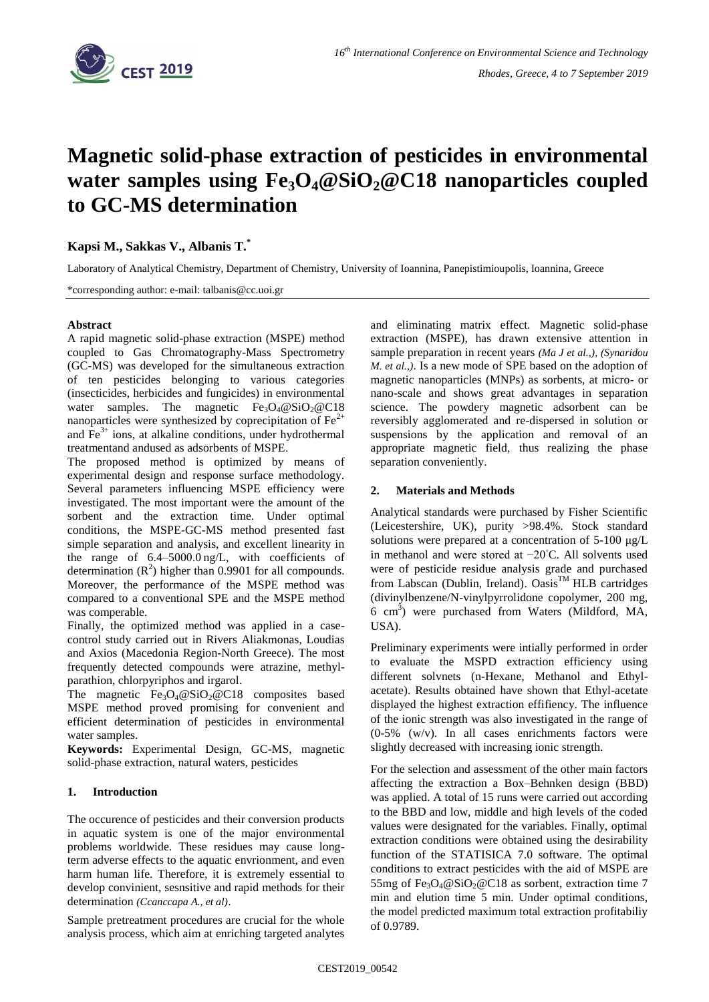

# **Magnetic solid-phase extraction of pesticides in environmental water samples using Fe3O4@SiO2@C18 nanoparticles coupled to GC-MS determination**

**Kapsi M., Sakkas V., Albanis T.\***

Laboratory of Analytical Chemistry, Department of Chemistry, University of Ioannina, Panepistimioupolis, Ioannina, Greece

\*corresponding author: e-mail: talbanis@cc.uoi.gr

# **Abstract**

A rapid magnetic solid-phase extraction (MSPE) method coupled to Gas Chromatography-Mass Spectrometry (GC-MS) was developed for the simultaneous extraction of ten pesticides belonging to various categories (insecticides, herbicides and fungicides) in environmental water samples. The magnetic  $Fe<sub>3</sub>O<sub>4</sub> @ SiO<sub>2</sub> @ C18$ nanoparticles were synthesized by coprecipitation of  $Fe<sup>2+</sup>$ and  $\overline{Fe}^{3+}$  ions, at alkaline conditions, under hydrothermal treatmentand andused as adsorbents of MSPE.

The proposed method is optimized by means of experimental design and response surface methodology. Several parameters influencing MSPE efficiency were investigated. The most important were the amount of the sorbent and the extraction time. Under optimal conditions, the MSPE-GC-MS method presented fast simple separation and analysis, and excellent linearity in the range of 6.4–5000.0 ng/L, with coefficients of determination  $(R^2)$  higher than 0.9901 for all compounds. Moreover, the performance of the MSPE method was compared to a conventional SPE and the MSPE method was comperable.

Finally, the optimized method was applied in a casecontrol study carried out in Rivers Aliakmonas, Loudias and Axios (Macedonia Region-North Greece). The most frequently detected compounds were atrazine, methylparathion, chlorpyriphos and irgarol.

The magnetic  $Fe<sub>3</sub>O<sub>4</sub>@SiO<sub>2</sub>@Cl8$  composites based MSPE method proved promising for convenient and efficient determination of pesticides in environmental water samples.

**Keywords:** Experimental Design, GC-MS, magnetic solid-phase extraction, natural waters, pesticides

# **1. Introduction**

The occurence of pesticides and their conversion products in aquatic system is one of the major environmental problems worldwide. These residues may cause longterm adverse effects to the aquatic envrionment, and even harm human life. Therefore, it is extremely essential to develop convinient, sesnsitive and rapid methods for their determination *(Ccanccapa A., et al)*.

Sample pretreatment procedures are crucial for the whole analysis process, which aim at enriching targeted analytes and eliminating matrix effect. Magnetic solid-phase extraction (MSPE), has drawn extensive attention in sample preparation in recent years *(Ma J et al.,), (Synaridou M. et al.,)*. Is a new mode of SPE based on the adoption of magnetic nanoparticles (MNPs) as sorbents, at micro- or nano-scale and shows great advantages in separation science. The powdery magnetic adsorbent can be reversibly agglomerated and re-dispersed in solution or suspensions by the application and removal of an appropriate magnetic field, thus realizing the phase separation conveniently.

# **2. Materials and Methods**

Analytical standards were purchased by Fisher Scientific (Leicestershire, UK), purity >98.4%. Stock standard solutions were prepared at a concentration of 5-100 μg/L in methanol and were stored at −20◦C. All solvents used were of pesticide residue analysis grade and purchased from Labscan (Dublin, Ireland).  $Q_{\text{asis}}^{\text{TM}}$  HLB cartridges (divinylbenzene/N-vinylpyrrolidone copolymer, 200 mg, 6 cm<sup>3</sup> ) were purchased from Waters (Mildford, MA, USA).

Preliminary experiments were intially performed in order to evaluate the MSPD extraction efficiency using different solvnets (n-Hexane, Methanol and Ethylacetate). Results obtained have shown that Ethyl-acetate displayed the highest extraction effifiency. The influence of the ionic strength was also investigated in the range of (0-5% (w/v). In all cases enrichments factors were slightly decreased with increasing ionic strength.

For the selection and assessment of the other main factors affecting the extraction a Box–Behnken design (BBD) was applied. A total of 15 runs were carried out according to the BBD and low, middle and high levels of the coded values were designated for the variables. Finally, optimal extraction conditions were obtained using the desirability function of the STATISICA 7.0 software. The optimal conditions to extract pesticides with the aid of MSPE are 55mg of Fe<sub>3</sub>O<sub>4</sub>@SiO<sub>2</sub>@C18 as sorbent, extraction time 7 min and elution time 5 min. Under optimal conditions, the model predicted maximum total extraction profitabiliy of 0.9789.